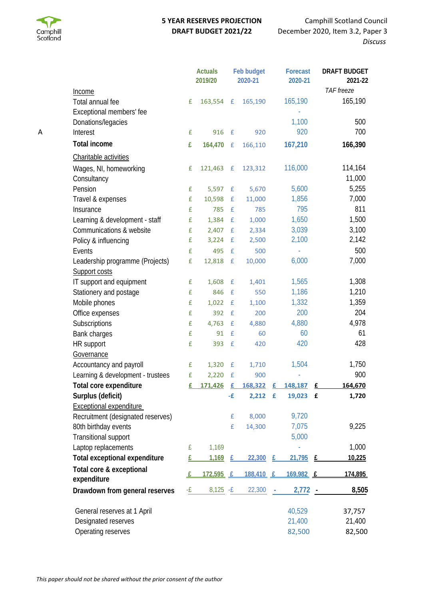

## **5 YEAR RESERVES PROJECTION DRAFT BUDGET 2021/22**

Camphill Scotland Council December 2020, Item 3.2, Paper 3 *Discuss*

|   |                                   | <b>Actuals</b><br>2019/20 |                  |                    | Feb budget<br>2020-21 | Forecast<br>2020-21 |                  | <b>DRAFT BUDGET</b><br>2021-22 |
|---|-----------------------------------|---------------------------|------------------|--------------------|-----------------------|---------------------|------------------|--------------------------------|
|   | Income                            |                           |                  |                    |                       |                     |                  | TAF freeze                     |
|   | Total annual fee                  | £                         | 163,554          | $\mathbf{f}$       | 165,190               |                     | 165,190          | 165,190                        |
|   | Exceptional members' fee          |                           |                  |                    |                       |                     |                  |                                |
|   | Donations/legacies                |                           |                  |                    |                       |                     | 1,100            | 500                            |
| Α | Interest                          | £                         | 916              | $\mathbf{f}$       | 920                   |                     | 920              | 700                            |
|   | <b>Total income</b>               | £                         | 164,470          | $\mathbf{f}$       | 166,110               |                     | 167,210          | 166,390                        |
|   | Charitable activities             |                           |                  |                    |                       |                     |                  |                                |
|   | Wages, NI, homeworking            | £                         | 121,463          | $\mathbf{f}$       | 123,312               |                     | 116,000          | 114,164                        |
|   | Consultancy                       |                           |                  |                    |                       |                     |                  | 11,000                         |
|   | Pension                           | £                         | 5,597            | £                  | 5,670                 |                     | 5,600            | 5,255                          |
|   | Travel & expenses                 | £                         | 10,598           | $\pmb{\text{f}}$   | 11,000                |                     | 1,856            | 7,000                          |
|   | Insurance                         | £                         | 785              | $\mathbf f$        | 785                   |                     | 795              | 811                            |
|   | Learning & development - staff    | £                         | 1,384            | $\mathbf f$        | 1,000                 |                     | 1,650            | 1,500                          |
|   | Communications & website          | £                         | 2,407            | £                  | 2,334                 |                     | 3,039            | 3,100                          |
|   | Policy & influencing              | £                         | 3,224            | £                  | 2,500                 |                     | 2,100            | 2,142                          |
|   | Events                            | £                         | 495              | $\mathbf f$        | 500                   |                     |                  | 500                            |
|   | Leadership programme (Projects)   | £                         | 12,818           | $\mathbf{f}$       | 10,000                |                     | 6,000            | 7,000                          |
|   | Support costs                     |                           |                  |                    |                       |                     |                  |                                |
|   | IT support and equipment          | £                         | 1,608            | £                  | 1,401                 |                     | 1,565            | 1,308                          |
|   | Stationery and postage            | £                         | 846              | £                  | 550                   |                     | 1,186            | 1,210                          |
|   | Mobile phones                     | £                         | 1,022            | £                  | 1,100                 |                     | 1,332            | 1,359                          |
|   | Office expenses                   | £                         | 392              | £                  | 200                   |                     | 200              | 204                            |
|   | Subscriptions                     | £                         | 4,763            | $\pmb{\text{f}}$   | 4,880                 |                     | 4,880            | 4,978                          |
|   | Bank charges                      | £                         | 91               | $\pmb{\mathsf{f}}$ | 60                    |                     | 60               | 61                             |
|   | HR support                        | £                         | 393              | $\mathbf f$        | 420                   |                     | 420              | 428                            |
|   | Governance                        |                           |                  |                    |                       |                     |                  |                                |
|   | Accountancy and payroll           | £                         | 1,320            | £                  | 1,710                 |                     | 1,504            | 1,750                          |
|   | Learning & development - trustees | £                         | 2,220            | $\mathbf f$        | 900                   |                     |                  | 900                            |
|   | Total core expenditure            | £                         | 171.426 £        |                    | 168.322 £             |                     | 148.187          | 164,670                        |
|   | Surplus (deficit)                 |                           |                  | -£                 | 2,212                 | $\mathbf{f}$        | 19,023 £         | 1,720                          |
|   | <b>Exceptional expenditure</b>    |                           |                  |                    |                       |                     |                  |                                |
|   | Recruitment (designated reserves) |                           |                  | £                  | 8,000                 |                     | 9,720            |                                |
|   | 80th birthday events              |                           |                  | £                  | 14,300                |                     | 7,075            | 9,225                          |
|   | Transitional support              |                           |                  |                    |                       |                     | 5,000            |                                |
|   | Laptop replacements               | £                         | 1,169            |                    |                       |                     |                  | 1,000                          |
|   | Total exceptional expenditure     | £                         | 1,169            | £                  | 22,300                | £                   | $21,795$ £       | 10,225                         |
|   | Total core & exceptional          |                           |                  |                    |                       |                     |                  |                                |
|   | expenditure                       |                           | <u>172,595 £</u> |                    | 188,410 £             |                     | <u>169,982 £</u> | 174,895                        |
|   | Drawdown from general reserves    | -£                        | $8,125 - E$      |                    | 22,300                |                     | 2,772            | 8,505                          |
|   | General reserves at 1 April       |                           |                  |                    |                       |                     | 40,529           | 37,757                         |
|   | Designated reserves               |                           |                  |                    |                       |                     | 21,400           | 21,400                         |
|   | Operating reserves                |                           |                  |                    |                       |                     | 82,500           | 82,500                         |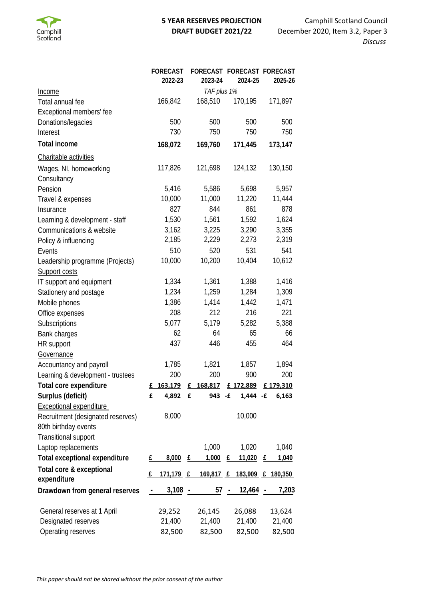

## **5 YEAR RESERVES PROJECTION DRAFT BUDGET 2021/22**

Camphill Scotland Council December 2020, Item 3.2, Paper 3 *Discuss*

|                                         |             | <b>FORECAST</b><br>2022-23 |              | FORECAST FORECAST FORECAST<br>2023-24 |            | 2024-25                            |   | 2025-26  |
|-----------------------------------------|-------------|----------------------------|--------------|---------------------------------------|------------|------------------------------------|---|----------|
| <u>Income</u>                           | TAF plus 1% |                            |              |                                       |            |                                    |   |          |
| Total annual fee                        |             | 166,842                    |              | 168,510                               |            | 170,195                            |   | 171,897  |
| Exceptional members' fee                |             |                            |              |                                       |            |                                    |   |          |
| Donations/legacies                      |             | 500                        |              | 500                                   |            | 500                                |   | 500      |
| Interest                                |             | 730                        |              | 750                                   |            | 750                                |   | 750      |
| <b>Total income</b>                     |             | 168,072                    |              | 169,760                               |            | 171,445                            |   | 173,147  |
| Charitable activities                   |             |                            |              |                                       |            |                                    |   |          |
| Wages, NI, homeworking<br>Consultancy   |             | 117,826                    |              | 121,698                               |            | 124,132                            |   | 130,150  |
| Pension                                 |             | 5,416                      |              | 5,586                                 |            | 5,698                              |   | 5,957    |
| Travel & expenses                       |             | 10,000                     |              | 11,000                                |            | 11,220                             |   | 11,444   |
| Insurance                               |             | 827                        |              | 844                                   |            | 861                                |   | 878      |
| Learning & development - staff          |             | 1,530                      |              | 1,561                                 |            | 1,592                              |   | 1,624    |
| Communications & website                |             | 3,162                      |              | 3,225                                 |            | 3,290                              |   | 3,355    |
| Policy & influencing                    |             | 2,185                      |              | 2,229                                 |            | 2,273                              |   | 2,319    |
| Events                                  |             | 510                        |              | 520                                   |            | 531                                |   | 541      |
| Leadership programme (Projects)         |             | 10,000                     |              | 10,200                                |            | 10,404                             |   | 10,612   |
| Support costs                           |             |                            |              |                                       |            |                                    |   |          |
| IT support and equipment                |             | 1,334                      |              | 1,361                                 |            | 1,388                              |   | 1,416    |
| Stationery and postage                  |             | 1,234                      |              | 1,259                                 |            | 1,284                              |   | 1,309    |
| Mobile phones                           |             | 1,386                      |              | 1,414                                 |            | 1,442                              |   | 1,471    |
| Office expenses                         |             | 208                        |              | 212                                   |            | 216                                |   | 221      |
| Subscriptions                           |             | 5,077                      |              | 5,179                                 |            | 5,282                              |   | 5,388    |
| Bank charges                            |             | 62                         |              | 64                                    |            | 65                                 |   | 66       |
| HR support                              |             | 437                        |              | 446                                   |            | 455                                |   | 464      |
| Governance                              |             |                            |              |                                       |            |                                    |   |          |
| Accountancy and payroll                 |             | 1,785                      |              | 1,821                                 |            | 1,857                              |   | 1,894    |
| Learning & development - trustees       |             | 200                        |              | 200                                   |            | 900                                |   | 200      |
| Total core expenditure                  | £           | 163,179                    | E            | 168,817                               |            | £ 172,889                          |   | £179,310 |
| Surplus (deficit)                       | £           | 4,892                      | $\mathbf{f}$ | 943 - £                               |            | $1,444 - f$                        |   | 6,163    |
| <b>Exceptional expenditure</b>          |             |                            |              |                                       |            |                                    |   |          |
| Recruitment (designated reserves)       |             | 8,000                      |              |                                       |            | 10,000                             |   |          |
| 80th birthday events                    |             |                            |              |                                       |            |                                    |   |          |
| Transitional support                    |             |                            |              |                                       |            |                                    |   |          |
| Laptop replacements                     |             |                            |              | 1,000                                 |            | 1,020                              |   | 1,040    |
| <b>Total exceptional expenditure</b>    | £           | 8,000                      | £            | 1,000                                 | E          | 11,020                             | £ | 1,040    |
| Total core & exceptional<br>expenditure | f           | 171,179 £                  |              |                                       |            | <u>169,817 £ 183,909 £ 180,350</u> |   |          |
| Drawdown from general reserves          |             | 3,108                      |              | 57                                    | $\sim$ $-$ | 12,464                             |   | 7,203    |
| General reserves at 1 April             |             | 29,252                     |              | 26,145                                |            | 26,088                             |   | 13,624   |
| Designated reserves                     |             | 21,400                     |              | 21,400                                |            | 21,400                             |   | 21,400   |
| Operating reserves                      |             | 82,500                     |              | 82,500                                |            | 82,500                             |   | 82,500   |